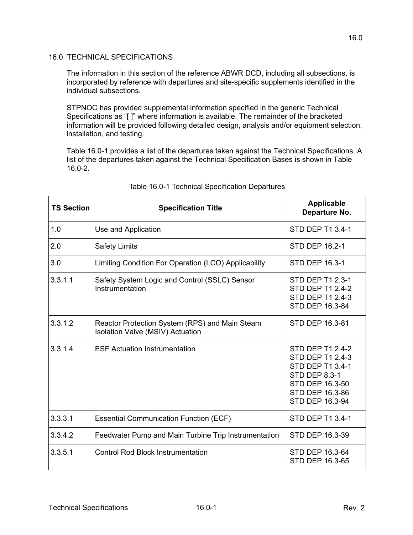## 16.0 TECHNICAL SPECIFICATIONS

The information in this section of the reference ABWR DCD, including all subsections, is incorporated by reference with departures and site-specific supplements identified in the individual subsections.

STPNOC has provided supplemental information specified in the generic Technical Specifications as "[ ]" where information is available. The remainder of the bracketed information will be provided following detailed design, analysis and/or equipment selection, installation, and testing.

Table [16.0-1](#page-0-0) provides a list of the departures taken against the Technical Specifications. A list of the departures taken against the Technical Specification Bases is shown in Table [16.0-2](#page-3-0).

<span id="page-0-0"></span>

| <b>TS Section</b> | <b>Specification Title</b>                                                                | <b>Applicable</b><br>Departure No.                                                                                                                      |
|-------------------|-------------------------------------------------------------------------------------------|---------------------------------------------------------------------------------------------------------------------------------------------------------|
| 1.0               | Use and Application                                                                       | <b>STD DEP T1 3.4-1</b>                                                                                                                                 |
| 2.0               | <b>Safety Limits</b>                                                                      | <b>STD DEP 16.2-1</b>                                                                                                                                   |
| 3.0               | Limiting Condition For Operation (LCO) Applicability                                      | <b>STD DEP 16.3-1</b>                                                                                                                                   |
| 3.3.1.1           | Safety System Logic and Control (SSLC) Sensor<br>Instrumentation                          | <b>STD DEP T1 2.3-1</b><br><b>STD DEP T1 2.4-2</b><br><b>STD DEP T1 2.4-3</b><br>STD DEP 16.3-84                                                        |
| 3.3.1.2           | Reactor Protection System (RPS) and Main Steam<br><b>Isolation Valve (MSIV) Actuation</b> | STD DEP 16.3-81                                                                                                                                         |
| 3.3.1.4           | <b>ESF Actuation Instrumentation</b>                                                      | <b>STD DEP T1 2.4-2</b><br><b>STD DEP T1 2.4-3</b><br>STD DEP T1 3.4-1<br><b>STD DEP 8.3-1</b><br>STD DEP 16.3-50<br>STD DEP 16.3-86<br>STD DEP 16.3-94 |
| 3.3.3.1           | <b>Essential Communication Function (ECF)</b>                                             | STD DEP T1 3.4-1                                                                                                                                        |
| 3.3.4.2           | Feedwater Pump and Main Turbine Trip Instrumentation                                      | STD DEP 16.3-39                                                                                                                                         |
| 3.3.5.1           | <b>Control Rod Block Instrumentation</b>                                                  | STD DEP 16.3-64<br>STD DEP 16.3-65                                                                                                                      |

## Table 16.0-1 Technical Specification Departures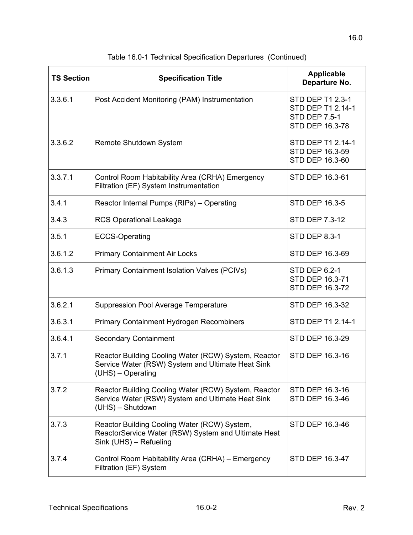| <b>TS Section</b> | <b>Specification Title</b>                                                                                                     | <b>Applicable</b><br>Departure No.                                               |
|-------------------|--------------------------------------------------------------------------------------------------------------------------------|----------------------------------------------------------------------------------|
| 3.3.6.1           | Post Accident Monitoring (PAM) Instrumentation                                                                                 | STD DEP T1 2.3-1<br>STD DEP T1 2.14-1<br><b>STD DEP 7.5-1</b><br>STD DEP 16.3-78 |
| 3.3.6.2           | Remote Shutdown System                                                                                                         | STD DEP T1 2.14-1<br>STD DEP 16.3-59<br>STD DEP 16.3-60                          |
| 3.3.7.1           | Control Room Habitability Area (CRHA) Emergency<br>Filtration (EF) System Instrumentation                                      | STD DEP 16.3-61                                                                  |
| 3.4.1             | Reactor Internal Pumps (RIPs) - Operating                                                                                      | <b>STD DEP 16.3-5</b>                                                            |
| 3.4.3             | <b>RCS Operational Leakage</b>                                                                                                 | <b>STD DEP 7.3-12</b>                                                            |
| 3.5.1             | <b>ECCS-Operating</b>                                                                                                          | <b>STD DEP 8.3-1</b>                                                             |
| 3.6.1.2           | <b>Primary Containment Air Locks</b>                                                                                           | STD DEP 16.3-69                                                                  |
| 3.6.1.3           | <b>Primary Containment Isolation Valves (PCIVs)</b>                                                                            | <b>STD DEP 6.2-1</b><br>STD DEP 16.3-71<br>STD DEP 16.3-72                       |
| 3.6.2.1           | <b>Suppression Pool Average Temperature</b>                                                                                    | STD DEP 16.3-32                                                                  |
| 3.6.3.1           | Primary Containment Hydrogen Recombiners                                                                                       | STD DEP T1 2.14-1                                                                |
| 3.6.4.1           | <b>Secondary Containment</b>                                                                                                   | STD DEP 16.3-29                                                                  |
| 3.7.1             | Reactor Building Cooling Water (RCW) System, Reactor<br>Service Water (RSW) System and Ultimate Heat Sink<br>(UHS) - Operating | STD DEP 16.3-16                                                                  |
| 3.7.2             | Reactor Building Cooling Water (RCW) System, Reactor<br>Service Water (RSW) System and Ultimate Heat Sink<br>(UHS) - Shutdown  | STD DEP 16.3-16<br>STD DEP 16.3-46                                               |
| 3.7.3             | Reactor Building Cooling Water (RCW) System,<br>ReactorService Water (RSW) System and Ultimate Heat<br>Sink (UHS) - Refueling  | STD DEP 16.3-46                                                                  |
| 3.7.4             | Control Room Habitability Area (CRHA) - Emergency<br>Filtration (EF) System                                                    | STD DEP 16.3-47                                                                  |

Table 16.0-1 Technical Specification Departures (Continued)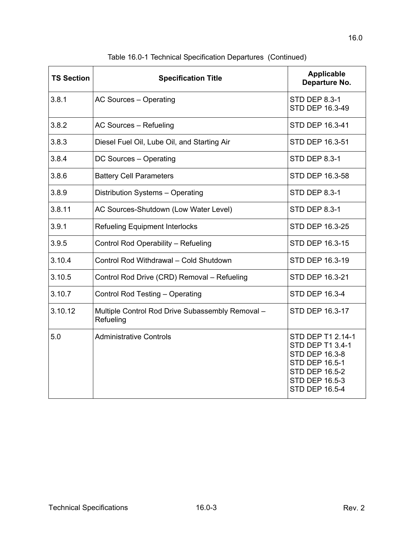| <b>TS Section</b> | <b>Specification Title</b>                                    | <b>Applicable</b><br>Departure No.                                                                                                                                        |
|-------------------|---------------------------------------------------------------|---------------------------------------------------------------------------------------------------------------------------------------------------------------------------|
| 3.8.1             | AC Sources - Operating                                        | <b>STD DEP 8.3-1</b><br>STD DEP 16.3-49                                                                                                                                   |
| 3.8.2             | AC Sources - Refueling                                        | STD DEP 16.3-41                                                                                                                                                           |
| 3.8.3             | Diesel Fuel Oil, Lube Oil, and Starting Air                   | <b>STD DEP 16.3-51</b>                                                                                                                                                    |
| 3.8.4             | DC Sources - Operating                                        | <b>STD DEP 8.3-1</b>                                                                                                                                                      |
| 3.8.6             | <b>Battery Cell Parameters</b>                                | STD DEP 16.3-58                                                                                                                                                           |
| 3.8.9             | Distribution Systems - Operating                              | <b>STD DEP 8.3-1</b>                                                                                                                                                      |
| 3.8.11            | AC Sources-Shutdown (Low Water Level)                         | <b>STD DEP 8.3-1</b>                                                                                                                                                      |
| 3.9.1             | <b>Refueling Equipment Interlocks</b>                         | <b>STD DEP 16.3-25</b>                                                                                                                                                    |
| 3.9.5             | Control Rod Operability - Refueling                           | STD DEP 16.3-15                                                                                                                                                           |
| 3.10.4            | Control Rod Withdrawal - Cold Shutdown                        | STD DEP 16.3-19                                                                                                                                                           |
| 3.10.5            | Control Rod Drive (CRD) Removal - Refueling                   | STD DEP 16.3-21                                                                                                                                                           |
| 3.10.7            | <b>Control Rod Testing - Operating</b>                        | <b>STD DEP 16.3-4</b>                                                                                                                                                     |
| 3.10.12           | Multiple Control Rod Drive Subassembly Removal -<br>Refueling | STD DEP 16.3-17                                                                                                                                                           |
| 5.0               | <b>Administrative Controls</b>                                | STD DEP T1 2.14-1<br><b>STD DEP T1 3.4-1</b><br><b>STD DEP 16.3-8</b><br><b>STD DEP 16.5-1</b><br><b>STD DEP 16.5-2</b><br><b>STD DEP 16.5-3</b><br><b>STD DEP 16.5-4</b> |

Table 16.0-1 Technical Specification Departures (Continued)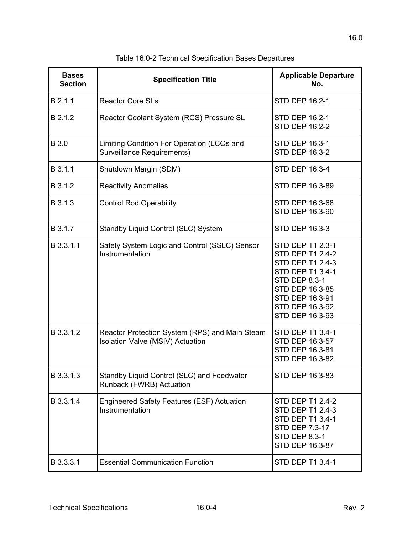<span id="page-3-0"></span>

| <b>Bases</b><br><b>Section</b> | <b>Specification Title</b>                                                         | <b>Applicable Departure</b><br>No.                                                                                                                                                                           |
|--------------------------------|------------------------------------------------------------------------------------|--------------------------------------------------------------------------------------------------------------------------------------------------------------------------------------------------------------|
| B 2.1.1                        | <b>Reactor Core SLs</b>                                                            | <b>STD DEP 16.2-1</b>                                                                                                                                                                                        |
| B 2.1.2                        | Reactor Coolant System (RCS) Pressure SL                                           | <b>STD DEP 16.2-1</b><br><b>STD DEP 16.2-2</b>                                                                                                                                                               |
| B 3.0                          | Limiting Condition For Operation (LCOs and<br><b>Surveillance Requirements)</b>    | <b>STD DEP 16.3-1</b><br><b>STD DEP 16.3-2</b>                                                                                                                                                               |
| B 3.1.1                        | Shutdown Margin (SDM)                                                              | <b>STD DEP 16.3-4</b>                                                                                                                                                                                        |
| B 3.1.2                        | <b>Reactivity Anomalies</b>                                                        | STD DEP 16.3-89                                                                                                                                                                                              |
| B 3.1.3                        | <b>Control Rod Operability</b>                                                     | STD DEP 16.3-68<br>STD DEP 16.3-90                                                                                                                                                                           |
| B 3.1.7                        | Standby Liquid Control (SLC) System                                                | <b>STD DEP 16.3-3</b>                                                                                                                                                                                        |
| B 3.3.1.1                      | Safety System Logic and Control (SSLC) Sensor<br>Instrumentation                   | <b>STD DEP T1 2.3-1</b><br><b>STD DEP T1 2.4-2</b><br><b>STD DEP T1 2.4-3</b><br><b>STD DEP T1 3.4-1</b><br><b>STD DEP 8.3-1</b><br>STD DEP 16.3-85<br>STD DEP 16.3-91<br>STD DEP 16.3-92<br>STD DEP 16.3-93 |
| B 3.3.1.2                      | Reactor Protection System (RPS) and Main Steam<br>Isolation Valve (MSIV) Actuation | <b>STD DEP T1 3.4-1</b><br>STD DEP 16.3-57<br>STD DEP 16.3-81<br>STD DEP 16.3-82                                                                                                                             |
| B 3.3.1.3                      | Standby Liquid Control (SLC) and Feedwater<br>Runback (FWRB) Actuation             | STD DEP 16.3-83                                                                                                                                                                                              |
| B 3.3.1.4                      | Engineered Safety Features (ESF) Actuation<br>Instrumentation                      | <b>STD DEP T1 2.4-2</b><br><b>STD DEP T1 2.4-3</b><br><b>STD DEP T1 3.4-1</b><br>STD DEP 7.3-17<br><b>STD DEP 8.3-1</b><br>STD DEP 16.3-87                                                                   |
| B 3.3.3.1                      | <b>Essential Communication Function</b>                                            | STD DEP T1 3.4-1                                                                                                                                                                                             |

Table 16.0-2 Technical Specification Bases Departures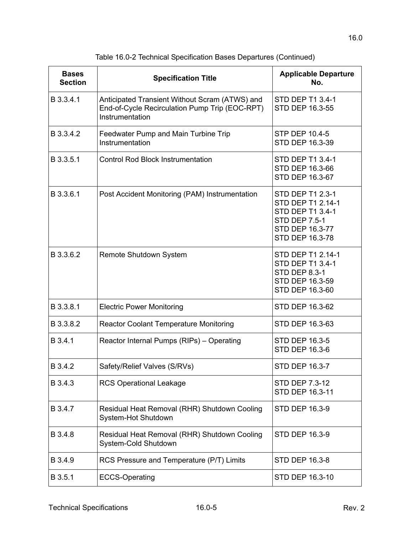| <b>Bases</b><br><b>Section</b> | <b>Specification Title</b>                                                                                          | <b>Applicable Departure</b><br>No.                                                                                      |
|--------------------------------|---------------------------------------------------------------------------------------------------------------------|-------------------------------------------------------------------------------------------------------------------------|
| B 3.3.4.1                      | Anticipated Transient Without Scram (ATWS) and<br>End-of-Cycle Recirculation Pump Trip (EOC-RPT)<br>Instrumentation | STD DEP T1 3.4-1<br>STD DEP 16.3-55                                                                                     |
| B 3.3.4.2                      | Feedwater Pump and Main Turbine Trip<br>Instrumentation                                                             | STP DEP 10.4-5<br>STD DEP 16.3-39                                                                                       |
| B 3.3.5.1                      | <b>Control Rod Block Instrumentation</b>                                                                            | STD DEP T1 3.4-1<br>STD DEP 16.3-66<br>STD DEP 16.3-67                                                                  |
| B 3.3.6.1                      | Post Accident Monitoring (PAM) Instrumentation                                                                      | STD DEP T1 2.3-1<br>STD DEP T1 2.14-1<br>STD DEP T1 3.4-1<br><b>STD DEP 7.5-1</b><br>STD DEP 16.3-77<br>STD DEP 16.3-78 |
| B 3.3.6.2                      | Remote Shutdown System                                                                                              | STD DEP T1 2.14-1<br>STD DEP T1 3.4-1<br><b>STD DEP 8.3-1</b><br>STD DEP 16.3-59<br>STD DEP 16.3-60                     |
| B 3.3.8.1                      | <b>Electric Power Monitoring</b>                                                                                    | STD DEP 16.3-62                                                                                                         |
| B 3.3.8.2                      | <b>Reactor Coolant Temperature Monitoring</b>                                                                       | STD DEP 16.3-63                                                                                                         |
| B 3.4.1                        | Reactor Internal Pumps (RIPs) - Operating                                                                           | STD DEP 16.3-5<br><b>STD DEP 16.3-6</b>                                                                                 |
| B 3.4.2                        | Safety/Relief Valves (S/RVs)                                                                                        | STD DEP 16.3-7                                                                                                          |
| B 3.4.3                        | <b>RCS Operational Leakage</b>                                                                                      | <b>STD DEP 7.3-12</b><br>STD DEP 16.3-11                                                                                |
| B 3.4.7                        | Residual Heat Removal (RHR) Shutdown Cooling<br>System-Hot Shutdown                                                 | STD DEP 16.3-9                                                                                                          |
| B 3.4.8                        | Residual Heat Removal (RHR) Shutdown Cooling<br>System-Cold Shutdown                                                | <b>STD DEP 16.3-9</b>                                                                                                   |
| B 3.4.9                        | RCS Pressure and Temperature (P/T) Limits                                                                           | STD DEP 16.3-8                                                                                                          |
| B 3.5.1                        | <b>ECCS-Operating</b>                                                                                               | STD DEP 16.3-10                                                                                                         |

Table 16.0-2 Technical Specification Bases Departures (Continued)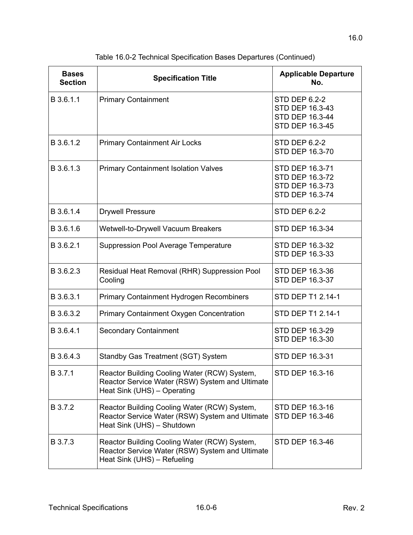| <b>Bases</b><br><b>Section</b> | <b>Specification Title</b>                                                                                                     | <b>Applicable Departure</b><br>No.                                                   |
|--------------------------------|--------------------------------------------------------------------------------------------------------------------------------|--------------------------------------------------------------------------------------|
| B 3.6.1.1                      | <b>Primary Containment</b>                                                                                                     | <b>STD DEP 6.2-2</b><br>STD DEP 16.3-43<br>STD DEP 16.3-44<br><b>STD DEP 16.3-45</b> |
| B 3.6.1.2                      | <b>Primary Containment Air Locks</b>                                                                                           | <b>STD DEP 6.2-2</b><br>STD DEP 16.3-70                                              |
| B 3.6.1.3                      | <b>Primary Containment Isolation Valves</b>                                                                                    | STD DEP 16.3-71<br>STD DEP 16.3-72<br>STD DEP 16.3-73<br>STD DEP 16.3-74             |
| B 3.6.1.4                      | <b>Drywell Pressure</b>                                                                                                        | <b>STD DEP 6.2-2</b>                                                                 |
| B 3.6.1.6                      | Wetwell-to-Drywell Vacuum Breakers                                                                                             | STD DEP 16.3-34                                                                      |
| B 3.6.2.1                      | Suppression Pool Average Temperature                                                                                           | STD DEP 16.3-32<br>STD DEP 16.3-33                                                   |
| B 3.6.2.3                      | Residual Heat Removal (RHR) Suppression Pool<br>Cooling                                                                        | STD DEP 16.3-36<br>STD DEP 16.3-37                                                   |
| B 3.6.3.1                      | <b>Primary Containment Hydrogen Recombiners</b>                                                                                | STD DEP T1 2.14-1                                                                    |
| B 3.6.3.2                      | Primary Containment Oxygen Concentration                                                                                       | STD DEP T1 2.14-1                                                                    |
| B 3.6.4.1                      | <b>Secondary Containment</b>                                                                                                   | STD DEP 16.3-29<br>STD DEP 16.3-30                                                   |
| B 3.6.4.3                      | Standby Gas Treatment (SGT) System                                                                                             | STD DEP 16.3-31                                                                      |
| B 3.7.1                        | Reactor Building Cooling Water (RCW) System,<br>Reactor Service Water (RSW) System and Ultimate<br>Heat Sink (UHS) - Operating | STD DEP 16.3-16                                                                      |
| B 3.7.2                        | Reactor Building Cooling Water (RCW) System,<br>Reactor Service Water (RSW) System and Ultimate<br>Heat Sink (UHS) - Shutdown  | STD DEP 16.3-16<br>STD DEP 16.3-46                                                   |
| B 3.7.3                        | Reactor Building Cooling Water (RCW) System,<br>Reactor Service Water (RSW) System and Ultimate<br>Heat Sink (UHS) - Refueling | STD DEP 16.3-46                                                                      |

Table 16.0-2 Technical Specification Bases Departures (Continued)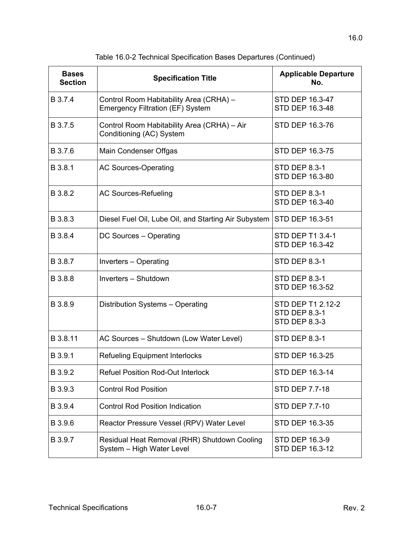| <b>Bases</b><br><b>Section</b> | <b>Specification Title</b>                                                         | <b>Applicable Departure</b><br>No.                                |
|--------------------------------|------------------------------------------------------------------------------------|-------------------------------------------------------------------|
| B 3.7.4                        | Control Room Habitability Area (CRHA) -<br><b>Emergency Filtration (EF) System</b> | STD DEP 16.3-47<br>STD DEP 16.3-48                                |
| B 3.7.5                        | Control Room Habitability Area (CRHA) - Air<br>Conditioning (AC) System            | STD DEP 16.3-76                                                   |
| B 3.7.6                        | Main Condenser Offgas                                                              | STD DEP 16.3-75                                                   |
| B 3.8.1                        | <b>AC Sources-Operating</b>                                                        | <b>STD DEP 8.3-1</b><br>STD DEP 16.3-80                           |
| B 3.8.2                        | <b>AC Sources-Refueling</b>                                                        | <b>STD DEP 8.3-1</b><br>STD DEP 16.3-40                           |
| B 3.8.3                        | Diesel Fuel Oil, Lube Oil, and Starting Air Subystem                               | STD DEP 16.3-51                                                   |
| B 3.8.4                        | DC Sources - Operating                                                             | <b>STD DEP T1 3.4-1</b><br>STD DEP 16.3-42                        |
| B 3.8.7                        | Inverters - Operating                                                              | <b>STD DEP 8.3-1</b>                                              |
| B 3.8.8                        | Inverters - Shutdown                                                               | <b>STD DEP 8.3-1</b><br>STD DEP 16.3-52                           |
| B 3.8.9                        | Distribution Systems - Operating                                                   | STD DEP T1 2.12-2<br><b>STD DEP 8.3-1</b><br><b>STD DEP 8.3-3</b> |
| B 3.8.11                       | AC Sources - Shutdown (Low Water Level)                                            | <b>STD DEP 8.3-1</b>                                              |
| B 3.9.1                        | <b>Refueling Equipment Interlocks</b>                                              | STD DEP 16.3-25                                                   |
| B 3.9.2                        | <b>Refuel Position Rod-Out Interlock</b>                                           | STD DEP 16.3-14                                                   |
| B 3.9.3                        | <b>Control Rod Position</b>                                                        | STD DEP 7.7-18                                                    |
| B 3.9.4                        | <b>Control Rod Position Indication</b>                                             | STD DEP 7.7-10                                                    |
| B 3.9.6                        | Reactor Pressure Vessel (RPV) Water Level                                          | STD DEP 16.3-35                                                   |
| B 3.9.7                        | Residual Heat Removal (RHR) Shutdown Cooling<br>System - High Water Level          | <b>STD DEP 16.3-9</b><br>STD DEP 16.3-12                          |

Table 16.0-2 Technical Specification Bases Departures (Continued)